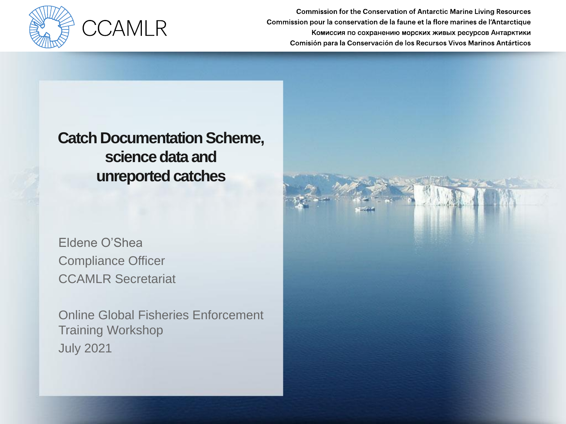

#### **Catch Documentation Scheme, science data and unreported catches**

Eldene O'Shea Compliance Officer CCAMLR Secretariat

Online Global Fisheries Enforcement Training Workshop July 2021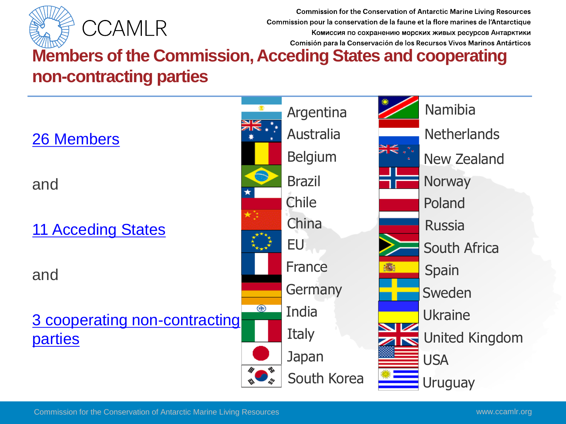

# **Members of the Commission, Acceding States and cooperating non-contracting parties**

[26 Members](https://www.ccamlr.org/en/organisation/members) 

and

**[11 Acceding States](https://www.ccamlr.org/en/organisation/acceding-states)** 

and

3 [cooperating non-contracting](https://www.ccamlr.org/en/organisation/cooperation-others)  **parties** 



South Africa Poland Russia **Norway** New Zealand Namibia United Kingdom Ukraine Sweden Spain Uruguay USA **Netherlands**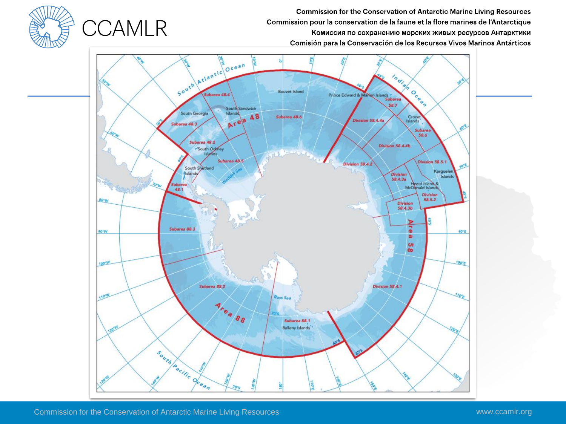

**CCAMLR**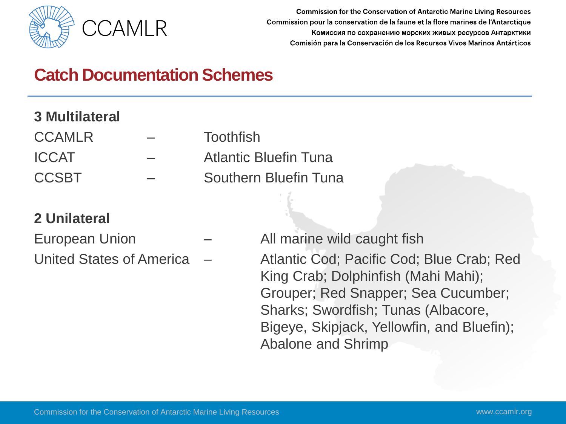

# **Catch Documentation Schemes**

#### **3 Multilateral**

- 
- CCAMLR Toothfish
- ICCAT Atlantic Bluefin Tuna
- CCSBT Southern Bluefin Tuna

#### **2 Unilateral**

- 
- 
- European Union All marine wild caught fish United States of America – Atlantic Cod; Pacific Cod; Blue Crab; Red King Crab; Dolphinfish (Mahi Mahi); Grouper; Red Snapper; Sea Cucumber; Sharks; Swordfish; Tunas (Albacore, Bigeye, Skipjack, Yellowfin, and Bluefin); Abalone and Shrimp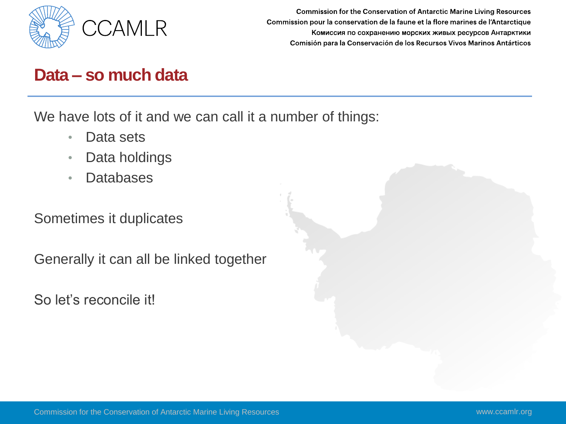

#### **Data – so much data**

We have lots of it and we can call it a number of things:

- Data sets
- Data holdings
- Databases

Sometimes it duplicates

Generally it can all be linked together

So let's reconcile it!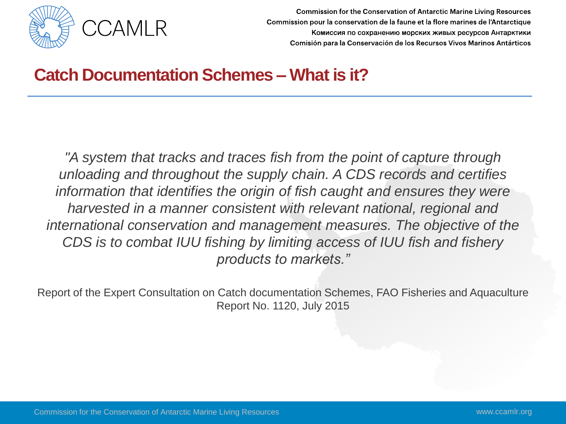

## **Catch Documentation Schemes – What is it?**

*"A system that tracks and traces fish from the point of capture through unloading and throughout the supply chain. A CDS records and certifies*  information that identifies the origin of fish caught and ensures they were *harvested in a manner consistent with relevant national, regional and international conservation and management measures. The objective of the CDS is to combat IUU fishing by limiting access of IUU fish and fishery products to markets."*

Report of the Expert Consultation on Catch documentation Schemes, FAO Fisheries and Aquaculture Report No. 1120, July 2015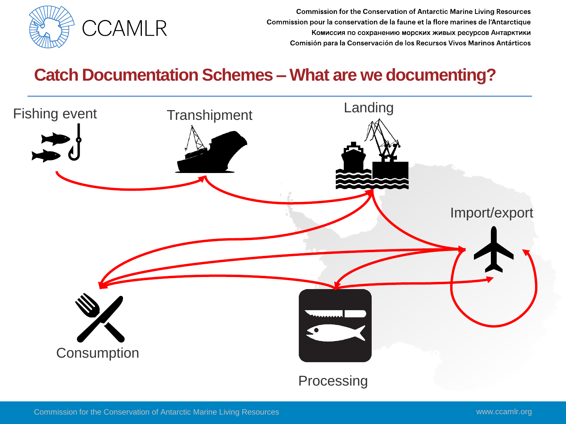

## **Catch Documentation Schemes – What are we documenting?**

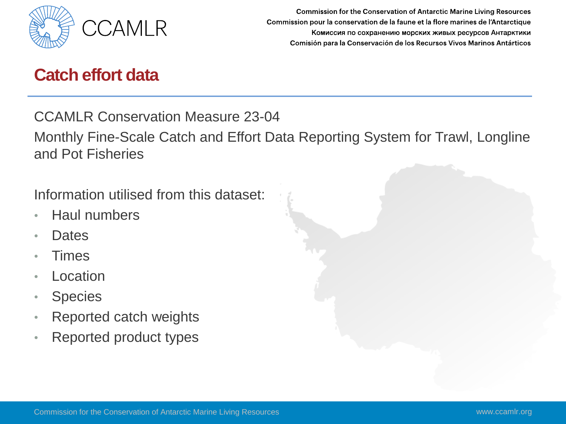

#### **Catch effort data**

CCAMLR Conservation Measure 23-04

Monthly Fine-Scale Catch and Effort Data Reporting System for Trawl, Longline and Pot Fisheries

Information utilised from this dataset:

- Haul numbers
- Dates
- **Times**
- Location
- Species
- Reported catch weights
- Reported product types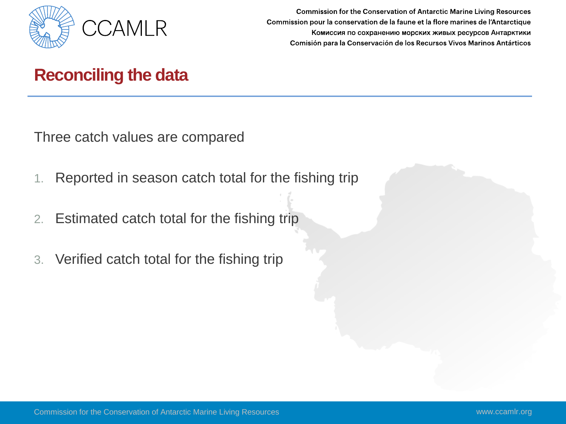

## **Reconciling the data**

Three catch values are compared

- 1. Reported in season catch total for the fishing trip
- 2. Estimated catch total for the fishing trip
- 3. Verified catch total for the fishing trip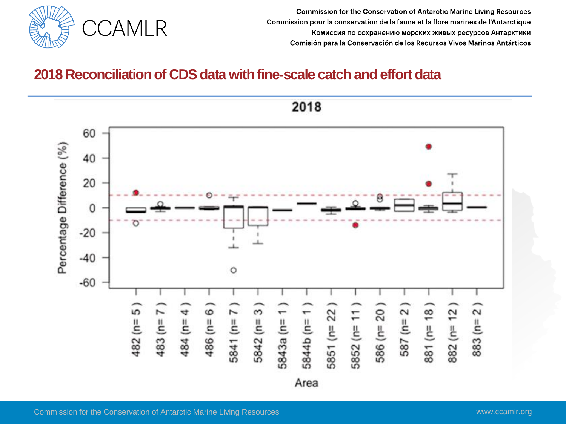

#### **2018 Reconciliation of CDS data with fine-scale catch and effort data**

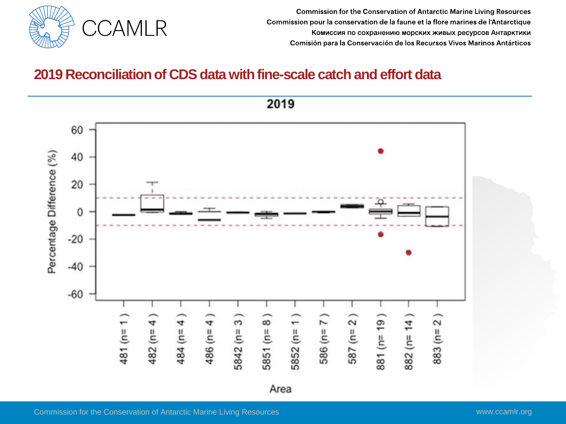

#### **2019 Reconciliation of CDS data with fine-scale catch and effort data**



2019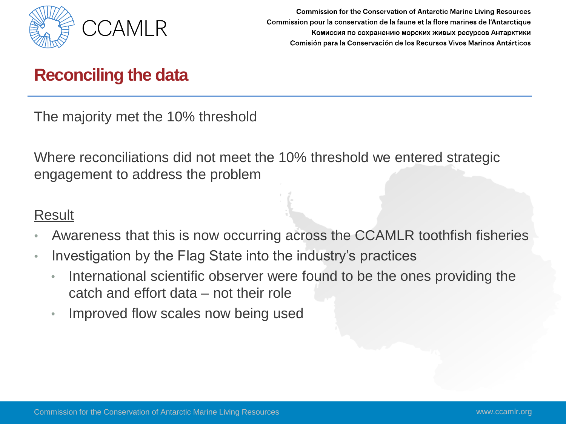

## **Reconciling the data**

The majority met the 10% threshold

Where reconciliations did not meet the 10% threshold we entered strategic engagement to address the problem

#### Result

- Awareness that this is now occurring across the CCAMLR toothfish fisheries
- Investigation by the Flag State into the industry's practices
	- International scientific observer were found to be the ones providing the catch and effort data – not their role
	- Improved flow scales now being used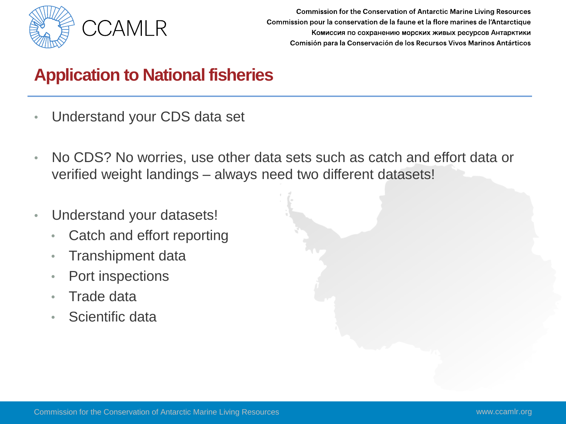

# **Application to National fisheries**

- Understand your CDS data set
- No CDS? No worries, use other data sets such as catch and effort data or verified weight landings – always need two different datasets!
- Understand your datasets!
	- Catch and effort reporting
	- Transhipment data
	- Port inspections
	- Trade data
	- Scientific data